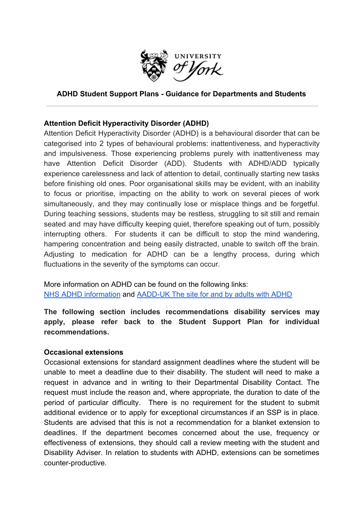

# **ADHD Student Support Plans - Guidance for Departments and Students**

# **Attention Deficit Hyperactivity Disorder (ADHD)**

Attention Deficit Hyperactivity Disorder (ADHD) is a behavioural disorder that can be categorised into 2 types of behavioural problems: inattentiveness, and hyperactivity and impulsiveness. Those experiencing problems purely with inattentiveness may have Attention Deficit Disorder (ADD). Students with ADHD/ADD typically experience carelessness and lack of attention to detail, continually starting new tasks before finishing old ones. Poor organisational skills may be evident, with an inability to focus or prioritise, impacting on the ability to work on several pieces of work simultaneously, and they may continually lose or misplace things and be forgetful. During teaching sessions, students may be restless, struggling to sit still and remain seated and may have difficulty keeping quiet, therefore speaking out of turn, possibly interrupting others. For students it can be difficult to stop the mind wandering, hampering concentration and being easily distracted, unable to switch off the brain. Adjusting to medication for ADHD can be a lengthy process, during which fluctuations in the severity of the symptoms can occur.

More information on ADHD can be found on the following links: [NHS ADHD information](https://www.nhs.uk/conditions/attention-deficit-hyperactivity-disorder-adhd/) and [AADD-UK The site for and by adults with ADHD](https://aadduk.org/symptoms-diagnosis-treatment/)

**The following section includes recommendations disability services may apply, please refer back to the Student Support Plan for individual recommendations.**

#### **Occasional extensions**

Occasional extensions for standard assignment deadlines where the student will be unable to meet a deadline due to their disability. The student will need to make a request in advance and in writing to their Departmental Disability Contact. The request must include the reason and, where appropriate, the duration to date of the period of particular difficulty. There is no requirement for the student to submit additional evidence or to apply for exceptional circumstances if an SSP is in place. Students are advised that this is not a recommendation for a blanket extension to deadlines. If the department becomes concerned about the use, frequency or effectiveness of extensions, they should call a review meeting with the student and Disability Adviser. In relation to students with ADHD, extensions can be sometimes counter-productive.